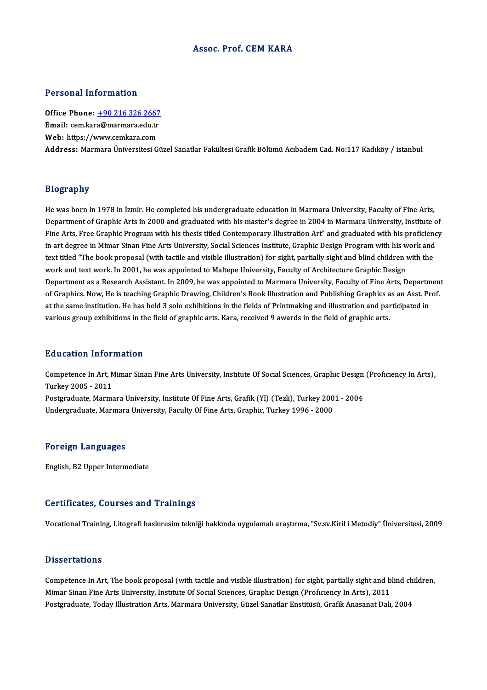### Assoc. Prof. CEM KARA

### Personal Information

Personal Information<br>Office Phone: <u>+90 216 326 2667</u><br>Email: com kara@marmara.cdu.tr Processian anticometers<br>Office Phone: <u>+90 216 326 2667</u><br>Email: cem.kar[a@marmara.edu.tr](tel:+90 216 326 2667) Office Phone: <u>+90 216 326 2667</u><br>Email: cem.kara@marmara.edu.tr<br>Web: https://www.cemkara.com **Email:** cem.kara@marmara.edu.tr<br>Web: https://www.cemkara.com<br>Address: Marmara Üniversitesi Güzel Sanatlar Fakültesi Grafik Bölümü Acıbadem Cad. No:117 Kadıköy / istanbul

### Biography

He was born in 1978 in İzmir. He completed his undergraduate education in Marmara University, Faculty of Fine Arts, Drography<br>He was born in 1978 in İzmir. He completed his undergraduate education in Marmara University, Faculty of Fine Arts,<br>Department of Graphic Arts in 2000 and graduated with his master's degree in 2004 in Marmara Uni He was born in 1978 in İzmir. He completed his undergraduate education in Marmara University, Faculty of Fine Arts,<br>Department of Graphic Arts in 2000 and graduated with his master's degree in 2004 in Marmara University, I Department of Graphic Arts in 2000 and graduated with his master's degree in 2004 in Marmara University, Institute of<br>The Arts, Free Graphic Program with his thesis titled Contemporary Illustration Art" and graduated with Fine Arts, Free Graphic Program with his thesis titled Contemporary Illustration Art" and graduated with his proficiency<br>in art degree in Mimar Sinan Fine Arts University, Social Sciences Institute, Graphic Design Program in art degree in Mimar Sinan Fine Arts University, Social Sciences Institute, Graphic Design Program with his work and text titled "The book proposal (with tactile and visible illustration) for sight, partially sight and blind children with the<br>work and text work. In 2001, he was appointed to Maltepe University, Faculty of Architecture Gra work and text work. In 2001, he was appointed to Maltepe University, Faculty of Architecture Graphic Design<br>Department as a Research Assistant. In 2009, he was appointed to Marmara University, Faculty of Fine Arts, Departm Department as a Research Assistant. In 2009, he was appointed to Marmara University, Faculty of Fine Arts, Departm<br>of Graphics. Now, He is teaching Graphic Drawing, Children's Book Illustration and Publishing Graphics as a of Graphics. Now, He is teaching Graphic Drawing, Children's Book Illustration and Publishing Graphics as an Asst. Prof.<br>at the same institution. He has held 3 solo exhibitions in the fields of Printmaking and illustration

### Education Information

**Education Information**<br>Competence In Art, Mimar Sinan Fine Arts University, Institute Of Social Sciences, Graphic Design (Proficiency In Arts),<br>Turkey 2005 - 2011 Eu acation Information<br>Competence In Art, N<br>Postavaduate Merma Competence In Art, Mimar Sinan Fine Arts University, Institute Of Social Sciences, Graphic Design<br>Turkey 2005 - 2011<br>Postgraduate, Marmara University, Institute Of Fine Arts, Grafik (Yl) (Tezli), Turkey 2001 - 2004<br>Undergr Turkey 2005 - 2011<br>Postgraduate, Marmara University, Institute Of Fine Arts, Grafik (Yl) (Tezli), Turkey 200<br>Undergraduate, Marmara University, Faculty Of Fine Arts, Graphic, Turkey 1996 - 2000 Undergraduate, Marmara University, Faculty Of Fine Arts, Graphic, Turkey 1996 - 2000<br>Foreign Languages

English,B2Upper Intermediate

### Certificates, Courses and Trainings

VocationalTraining,Litografibaskıresimtekniğihakkında uygulamalıaraştırma, "Sv.sv.Kiril iMetodiy"Üniversitesi,2009

### **Dissertations**

Dissertations<br>Competence In Art, The book proposal (with tactile and visible illustration) for sight, partially sight and blind children,<br>Mimar Sinan Eine Arts University, Institute Of Sesual Suences, Craphys Desyrp (Brefi Misser carroms<br>Competence In Art, The book proposal (with tactile and visible illustration) for sight, partially sight and b<br>Mimar Sinan Fine Arts University, Institute Of Social Sciences, Graphic Design (Proficiency In Ar Competence In Art, The book proposal (with tactile and visible illustration) for sight, partially sight and blind ch<br>Mimar Sinan Fine Arts University, Institute Of Social Sciences, Graphic Design (Proficiency In Arts), 201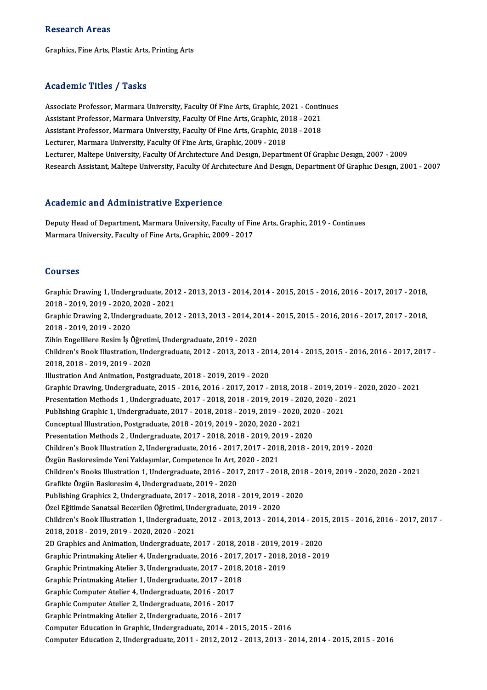### Research Areas

Graphics, Fine Arts, Plastic Arts, Printing Arts

### Academic Titles / Tasks

Academic Titles / Tasks<br>Associate Professor, Marmara University, Faculty Of Fine Arts, Graphic, 2021 - Continues<br>Assistant Professor, Marmara University, Faculty Of Fine Arts, Graphic, 2021 - Continues Associate Professor, Marmara University, Faculty Of Fine Arts, Graphic, 2021 - Contin<br>Assistant Professor, Marmara University, Faculty Of Fine Arts, Graphic, 2018 - 2021<br>Assistant Professor, Marmara University, Faculty Of Associate Professor, Marmara University, Faculty Of Fine Arts, Graphic, 2021 - Contin<br>Assistant Professor, Marmara University, Faculty Of Fine Arts, Graphic, 2018 - 2021<br>Assistant Professor, Marmara University, Faculty Of Assistant Professor, Marmara University, Faculty Of Fine Arts, Graphic, 2018 - 2021<br>Assistant Professor, Marmara University, Faculty Of Fine Arts, Graphic, 2018 - 2018<br>Lecturer, Marmara University, Faculty Of Fine Arts, Gr Lecturer, Maltepe University, Faculty Of Architecture And Design, Department Of Graphic Design, 2007 - 2009 Research Assistant, Maltepe University, Faculty Of Architecture And Design, Department Of Graphic Design, 2001 - 2007

### Academic and Administrative Experience

Academic and Administrative Experience<br>Deputy Head of Department, Marmara University, Faculty of Fine Arts, Graphic, 2019 - Continues<br>Marmara University, Faculty of Fine Arts, Craphic, 2009, 2017 Marmara China Marmarach and Chine Chine<br>Deputy Head of Department, Marmara University, Faculty of Fin<br>Marmara University, Faculty of Fine Arts, Graphic, 2009 - 2017 Marmara University, Faculty of Fine Arts, Graphic, 2009 - 2017<br>Courses

GraphicDrawing1,Undergraduate,2012 -2013,2013 -2014,2014 -2015,2015 -2016,2016 -2017,2017 -2018, 2021<br>2018 - Crawing 1, Undergraduate, 201<br>2018 - 2019, 2019 - 2020, 2020 - 2021<br>Craphic Drawing 2, Undergraduate, 201 Graphic Drawing 1, Undergraduate, 2012 - 2013, 2013 - 2014, 2014 - 2015, 2015 - 2016, 2016 - 2017, 2017 - 2018,<br>2018 - 2019, 2019 - 2020, 2020 - 2021<br>Graphic Drawing 2, Undergraduate, 2012 - 2013, 2013 - 2014, 2014 - 2015, 2018 - 2019, 2019 - 2020,<br>Graphic Drawing 2, Under:<br>2018 - 2019, 2019 - 2020<br>Zihin Engellilere Besim Is ( Graphic Drawing 2, Undergraduate, 2012 - 2013, 2013 - 2014, 20<br>2018 - 2019, 2019 - 2020<br>Zihin Engellilere Resim İş Öğretimi, Undergraduate, 2019 - 2020<br>Children's Book Illustration, Undergraduate, 2012, 2012, 2012 2018 - 2019, 2019 - 2020<br>Zihin Engellilere Resim İş Öğretimi, Undergraduate, 2019 - 2020<br>Children's Book Illustration, Undergraduate, 2012 - 2013, 2013 - 2014, 2014 - 2015, 2015 - 2016, 2016 - 2017, 2017 -Zihin Engellilere Resim İş Öğretimi, Undergraduate, 2019 - 2020<br>Children's Book Illustration, Undergraduate, 2012 - 2013, 2013 - 20<br>2018, 2018 - 2019, 2019 - 2020<br>Illustration And Animation, Postgraduate, 2018 - 2019, 2019 Children's Book Illustration, Undergraduate, 2012 - 2013, 2013 - 2013<br>2018, 2018 - 2019, 2019 - 2020<br>Illustration And Animation, Postgraduate, 2018 - 2019, 2019 - 2020<br>Craphie Drewing, Undergraduate, 2015, 2016, 2016, 2017 2018, 2018 - 2019, 2019 - 2020<br>Illustration And Animation, Postgraduate, 2018 - 2019, 2019 - 2020<br>Graphic Drawing, Undergraduate, 2015 - 2016, 2016 - 2017, 2017 - 2018, 2018 - 2019, 2019 - 2020, 2020 - 2021<br>Presentation Me Illustration And Animation, Postgraduate, 2018 - 2019, 2019 - 2020<br>Graphic Drawing, Undergraduate, 2015 - 2016, 2016 - 2017, 2017 - 2018, 2018 - 2019, 2019 - 2<br>Presentation Methods 1 , Undergraduate, 2017 - 2018, 2018 - 20 Graphic Drawing, Undergraduate, 2015 - 2016, 2016 - 2017, 2017 - 2018, 2018 - 2019, 201<br>Presentation Methods 1 , Undergraduate, 2017 - 2018, 2018 - 2019, 2019 - 2020, 2020 - 20<br>Publishing Graphic 1, Undergraduate, 2017 - 2 Presentation Methods 1 , Undergraduate, 2017 - 2018, 2018 - 2019, 2019 - 20<br>Publishing Graphic 1, Undergraduate, 2017 - 2018, 2018 - 2019, 2019 - 2020,<br>Conceptual Illustration, Postgraduate, 2018 - 2019, 2019 - 2020, 2020 Publishing Graphic 1, Undergraduate, 2017 - 2018, 2018 - 2019, 2019 - 2020, 202<br>Conceptual Illustration, Postgraduate, 2018 - 2019, 2019 - 2020, 2020 - 2021<br>Presentation Methods 2 , Undergraduate, 2017 - 2018, 2018 - 2019, Children's Book Illustration 2, Undergraduate, 2016 - 2017, 2017 - 2018, 2018 - 2019, 2019 - 2020<br>Özgün Baskıresimde Yeni Yaklaşımlar, Competence In Art, 2020 - 2021 Presentation Methods 2, Undergraduate, 2017 - 2018, 2018 - 2019, 2019 - 2020 Children'sBooks Ilustration1,Undergraduate,2016 -2017,2017 -2018,2018 -2019,2019 -2020,2020 -2021 GrafikteÖzgünBaskıresim4,Undergraduate,2019 -2020 Children's Books Illustration 1, Undergraduate, 2016 - 2017, 2017 - 2018, 2018<br>Grafikte Özgün Baskıresim 4, Undergraduate, 2019 - 2020<br>Publishing Graphics 2, Undergraduate, 2017 - 2018, 2018 - 2019, 2019 - 2020<br>Özel Fğitim Grafikte Özgün Baskıresim 4, Undergraduate, 2019 - 2020<br>Publishing Graphics 2, Undergraduate, 2017 - 2018, 2018 - 2019, 2019<br>Özel Eğitimde Sanatsal Becerilen Öğretimi, Undergraduate, 2019 - 2020<br>Children's Book Illustratio Publishing Graphics 2, Undergraduate, 2017 - 2018, 2018 - 2019, 2019 - 2020<br>Özel Eğitimde Sanatsal Becerilen Öğretimi, Undergraduate, 2019 - 2020<br>Children's Book Illustration 1, Undergraduate, 2012 - 2013, 2013 - 2014, 201 Özel Eğitimde Sanatsal Becerilen Öğretimi, Unc<br>Children's Book Illustration 1, Undergraduate,<br>2018, 2018 - 2019, 2019 - 2020, 2020 - 2021<br>2D Craphics and Animation Undergraduate. Children's Book Illustration 1, Undergraduate, 2012 - 2013, 2013 - 2014, 2014 - 201<br>2018, 2018 - 2019, 2019 - 2020, 2020 - 2021<br>2D Graphics and Animation, Undergraduate, 2017 - 2018, 2018 - 2019, 2019 - 2020<br>Craphic Printm 2018, 2018 - 2019, 2019 - 2020, 2020 - 2021<br>2D Graphics and Animation, Undergraduate, 2017 - 2018, 2018 - 2019, 2019 - 2020<br>Graphic Printmaking Atelier 4, Undergraduate, 2016 - 2017, 2017 - 2018, 2018 - 2019 2D Graphics and Animation, Undergraduate, 2017 - 2018, 2018 - 2019, 20<br>Graphic Printmaking Atelier 4, Undergraduate, 2016 - 2017, 2017 - 2018,<br>Graphic Printmaking Atelier 3, Undergraduate, 2017 - 2018, 2018 - 2019<br>Craphic Graphic Printmaking Atelier 4, Undergraduate, 2016 - 2017,<br>Graphic Printmaking Atelier 3, Undergraduate, 2017 - 2018,<br>Graphic Printmaking Atelier 1, Undergraduate, 2017 - 2018<br>Craphic Computer Atelier 4, Undergraduate, 201 Graphic Printmaking Atelier 3, Undergraduate, 2017 - 2013<br>Graphic Printmaking Atelier 1, Undergraduate, 2017 - 2013<br>Graphic Computer Atelier 4, Undergraduate, 2016 - 2017 Graphic Printmaking Atelier 1, Undergraduate, 2017 - 2013<br>Graphic Computer Atelier 4, Undergraduate, 2016 - 2017<br>Graphic Computer Atelier 2, Undergraduate, 2016 - 2017<br>Craphic Printmaking Atelier 2, Undergraduate, 2016 - 2 Graphic Computer Atelier 4, Undergraduate, 2016 - 2017<br>Graphic Computer Atelier 2, Undergraduate, 2016 - 2017<br>Graphic Printmaking Atelier 2, Undergraduate, 2016 - 2017<br>Computer Education in Craphic Undergraduate, 2014 - 20 Graphic Computer Atelier 2, Undergraduate, 2016 - 2017<br>Graphic Printmaking Atelier 2, Undergraduate, 2016 - 2017<br>Computer Education in Graphic, Undergraduate, 2014 - 2015, 2015 - 2016 Computer Education2,Undergraduate,2011 -2012,2012 -2013,2013 -2014,2014 -2015,2015 -2016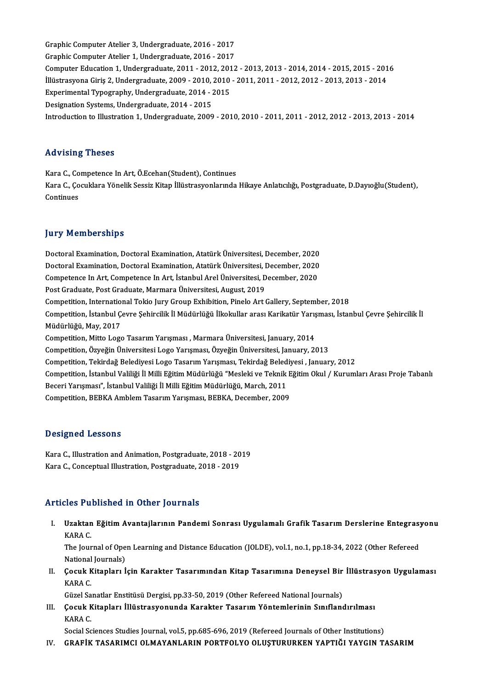Graphic Computer Atelier 3, Undergraduate, 2016 - 2017<br>Craphic Computer Atelier 3, Undergraduate, 2016 - 2017 Graphic Computer Atelier 3, Undergraduate, 2016 - 2017<br>Graphic Computer Atelier 1, Undergraduate, 2016 - 2017<br>Computer Education 1, Undergraduate, 2011, 2012, 2017 Graphic Computer Atelier 3, Undergraduate, 2016 - 2017<br>Graphic Computer Atelier 1, Undergraduate, 2016 - 2017<br>Computer Education 1, Undergraduate, 2011 - 2012, 2012 - 2013, 2013 - 2014, 2014 - 2015, 2015 - 2016<br>Wüstnesvone Graphic Computer Atelier 1, Undergraduate, 2016 - 2017<br>Computer Education 1, Undergraduate, 2011 - 2012, 2012 - 2013, 2013 - 2014, 2014 - 2015, 2015 - 201<br>İllüstrasyona Giriş 2, Undergraduate, 2009 - 2010, 2010 - 2011, 201 Computer Education 1, Undergraduate, 2011 - 2012, 201<br>Illüstrasyona Giriş 2, Undergraduate, 2009 - 2010, 2010<br>Experimental Typography, Undergraduate, 2014 - 2015<br>Designation Systems, Undergraduate, 2014 - 2015 İllüstrasyona Giriş 2, Undergraduate, 2009 - 2010, 2010 - 2011, 2011 - 2012, 2012 - 2013, 2013 - 2014<br>Experimental Typography, Undergraduate, 2014 - 2015<br>Designation Systems, Undergraduate, 2014 - 2015 Introductionto Ilustration1,Undergraduate,2009 -2010,2010 -2011,2011 -2012,2012 -2013,2013 -2014

### Advising Theses

Advising Theses<br>Kara C., Competence In Art, Ö.Ecehan(Student), Continues<br>Kara C. Coguklare Vänelik Sessiz Kitan Wüstresvenlarında Kara C., Çocuklara Yönelik Sessiz Kitap İllüstrasyonlarında Hikaye Anlatıcılığı, Postgraduate, D.Dayıoğlu(Student),<br>Continues Kara C., Co<br>Kara C., Ço<br>Continues

### **Jury Memberships**

DoctoralExamination,DoctoralExamination,AtatürkÜniversitesi,December,2020 Jury Tremberempe<br>Doctoral Examination, Doctoral Examination, Atatürk Üniversitesi, December, 2020<br>Doctoral Examination, Doctoral Examination, Atatürk Üniversitesi, December, 2020<br>Competence In Art. Competence In Art. İstan Doctoral Examination, Doctoral Examination, Atatürk Üniversitesi, December, 2020<br>Doctoral Examination, Doctoral Examination, Atatürk Üniversitesi, December, 2020<br>Competence In Art, Competence In Art, İstanbul Arel Üniversi Doctoral Examination, Doctoral Examination, Atatürk Üniversitesi, I<br>Competence In Art, Competence In Art, İstanbul Arel Üniversitesi, D<br>Post Graduate, Post Graduate, Marmara Üniversitesi, August, 2019<br>Competition, Internat Competence In Art, Competence In Art, İstanbul Arel Üniversitesi, December, 2020<br>Post Graduate, Post Graduate, Marmara Üniversitesi, August, 2019<br>Competition, International Tokio Jury Group Exhibition, Pinelo Art Gallery, Post Graduate, Post Graduate, Marmara Üniversitesi, August, 2019<br>Competition, International Tokio Jury Group Exhibition, Pinelo Art Gallery, September, 2018<br>Competition, İstanbul Çevre Şehircilik İl Müdürlüğü İlkokullar ar Competition, Internatio<br>Competition, İstanbul Ç<br>Müdürlüğü, May, 2017<br>Competition, Mitte Logg Competition, İstanbul Çevre Şehircilik İl Müdürlüğü İlkokullar arası Karikatür Yarış<br>Müdürlüğü, May, 2017<br>Competition, Mitto Logo Tasarım Yarışması , Marmara Üniversitesi, January, 2014<br>Competition, Örveğin Üniversitesi Lo Müdürlüğü, May, 2017<br>Competition, Mitto Logo Tasarım Yarışması , Marmara Üniversitesi, January, 2014<br>Competition, Özyeğin Üniversitesi Logo Yarışması, Özyeğin Üniversitesi, January, 2013 Competition, Mitto Logo Tasarım Yarışması , Marmara Üniversitesi, January, 2014<br>Competition, Özyeğin Üniversitesi Logo Yarışması, Özyeğin Üniversitesi, January, 2013<br>Competition, Tekirdağ Belediyesi Logo Tasarım Yarışması, Competition, İstanbul Valiliği İl Milli Eğitim Müdürlüğü "Mesleki ve Teknik Eğitim Okul / Kurumları Arası Proje Tabanlı<br>Beceri Yarışması", İstanbul Valiliği İl Milli Eğitim Müdürlüğü, March, 2011 Competition, Tekirdağ Belediyesi Logo Tasarım Yarışması, Tekirdağ Beled<br>Competition, İstanbul Valiliği İl Milli Eğitim Müdürlüğü "Mesleki ve Teknik<br>Beceri Yarışması", İstanbul Valiliği İl Milli Eğitim Müdürlüğü, March, 201 Competition, BEBKA Amblem Tasarım Yarışması, BEBKA, December, 2009

### Designed Lessons

Designed Lessons<br>Kara C., Illustration and Animation, Postgraduate, 2018 - 2019<br>Kara C. Consentual Illustration, Postgraduate, 2019 - 2019 2 Corgrica 20000119<br>Kara C., Illustration and Animation, Postgraduate, 2018 - 20<br>Kara C., Conceptual Illustration, Postgraduate, 2018 - 2019 Kara C., Conceptual Illustration, Postgraduate, 2018 - 2019<br>Articles Published in Other Journals

rticles Published in Other Journals<br>I. Uzaktan Eğitim Avantajlarının Pandemi Sonrası Uygulamalı Grafik Tasarım Derslerine Entegrasyonu<br>KARA C 105 1 u<br>Uzaktan<br>KARA C. Uzaktan Eğitim Avantajlarının Pandemi Sonrası Uygulamalı Grafik Tasarım Derslerine Entegrası<br>KARA C.<br>The Journal of Open Learning and Distance Education (JOLDE), vol.1, no.1, pp.18-34, 2022 (Other Refereed<br>National Journal

KARA C.<br>The Journal of Open Learning and Distance Education (JOLDE), vol.1, no.1, pp.18-34, 2022 (Other Refereed<br>National Journals) The Journal of Open Learning and Distance Education (JOLDE), vol.1, no.1, pp.18-34, 2022 (Other Refereed<br>National Journals)<br>II. Cocuk Kitapları İçin Karakter Tasarımından Kitap Tasarımına Deneysel Bir İllüstrasyon Uygulama

National<br>**Çocuk K**<br>KARA C. Çocuk Kitapları İçin Karakter Tasarımından Kitap Tasarımına Deneysel Bir<br>KARA C.<br>Güzel Sanatlar Enstitüsü Dergisi, pp.33-50, 2019 (Other Refereed National Journals)<br>Cosuk Kitapları İllüstresyonunda Karaktar Tasarım Vänteml

Güzel Sanatlar Enstitüsü Dergisi, pp.33-50, 2019 (Other Refereed National Journals)

KARA C.<br>Güzel Sanatlar Enstitüsü Dergisi, pp.33-50, 2019 (Other Refereed National Journals)<br>III. Çocuk Kitapları İllüstrasyonunda Karakter Tasarım Yöntemlerinin Sınıflandırılması<br>KARA C.

Social Sciences Studies Journal, vol.5, pp.685-696, 2019 (Refereed Journals of Other Institutions)

IV. GRAFİK TASARIMCI OLMAYANLARIN PORTFOLYO OLUŞTURURKEN YAPTIĞI YAYGIN TASARIM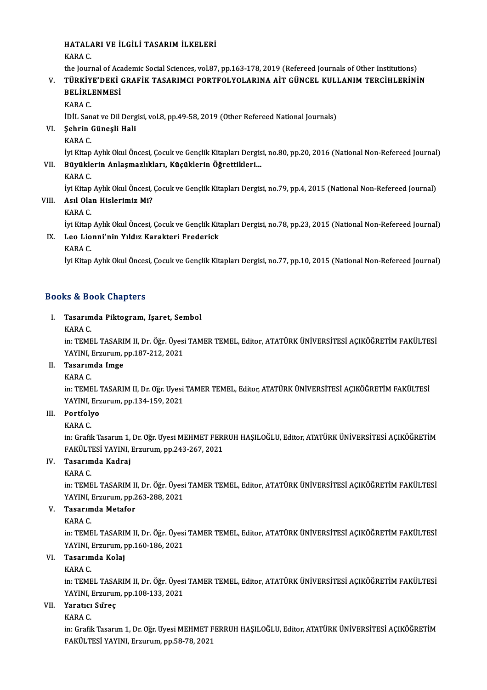# HATALARI VE İLGİLİ TASARIM İLKELERİ<br>KARA C HATALA<br>KARA C.<br>the Journ

HATALARI VE İLGİLİ TASARIM İLKELERİ<br>KARA C.<br>the Journal of Academic Social Sciences, vol.87, pp.163-178, 2019 (Refereed Journals of Other Institutions)<br>Tüp vive DEVİ CRAEİV TASARIMCI RORTEOL VOLARINA AİT CÜNCEL VIU LANIM T

# KARA C.<br>the Journal of Academic Social Sciences, vol.87, pp.163-178, 2019 (Refereed Journals of Other Institutions)<br>V. TÜRKİYE'DEKİ GRAFİK TASARIMCI PORTFOLYOLARINA AİT GÜNCEL KULLANIM TERCİHLERİNİN<br>BELİRLENMESİ the Journal of Aca<br>TÜRKİYE'DEKİ<br>BELİRLENMESİ<br>KARA C

KARAC.

BELİRLENMESİ<br>KARA C.<br>İDİL Sanat ve Dil Dergisi, vol.8, pp.49-58, 2019 (Other Refereed National Journals)<br>Sehrin Günesli Hali

# VI. Şehrin Güneşli Hali

İDİL San<br>Şehrin (<br>KARA C.<br>İvi Kitan

Şehrin Güneşli Hali<br>KARA C.<br>İyi Kitap Aylık Okul Öncesi, Çocuk ve Gençlik Kitapları Dergisi, no.80, pp.20, 2016 (National Non-Refereed Journal)<br>Büyüklerin Anlasmazlıkları, Küsüklerin Öğrettikleri İyi Kitap<br>**Büyükle**<br>KARA C.<br>İyi Kitap

## VII. Büyüklerin Anlaşmazlıkları, Küçüklerin Öğrettikleri...<br>KARA C.

Büyüklerin Anlaşmazlıkları, Küçüklerin Öğrettikleri...<br>KARA C.<br>İyi Kitap Aylık Okul Öncesi, Çocuk ve Gençlik Kitapları Dergisi, no.79, pp.4, 2015 (National Non-Refereed Journal)<br>Asıl Olan Hislarimiz Mi?

# VIII. Asıl Olan Hislerimiz Mi?<br>KARA C. İyi Kitap<br>**Asıl Ola**<br>KARA C.<br>İvi Kitap

Asıl Olan Hislerimiz Mi?<br>KARA C.<br>İyi Kitap Aylık Okul Öncesi, Çocuk ve Gençlik Kitapları Dergisi, no.78, pp.23, 2015 (National Non-Refereed Journal)<br>Lee Lianni'nin Yıldız Karaktari Enederiek

# IX. Leo Lionni'nin Yıldız Karakteri Frederick İyi Kitap<br>**Leo Lio**<br>KARA C.<br>İvi Kitan

İyi Kitap Aylık Okul Öncesi, Çocuk ve Gençlik Kitapları Dergisi, no.77, pp.10, 2015 (National Non-Refereed Journal)

## Books&Book Chapters

# ooks & Book Chapters<br>I. Tasarımda Piktogram, Işaret, Sembol<br>KARA C no de Bel<br>Tasarim<br>KARA C.<br>in: TEME

Tasarımda Piktogram, Işaret, Sembol<br>KARA C.<br>in: TEMEL TASARIM II, Dr. Öğr. Üyesi TAMER TEMEL, Editor, ATATÜRK ÜNİVERSİTESİ AÇIKÖĞRETİM FAKÜLTESİ<br>YAYINI Fraurum, pp.197.212.2021 KARA C.<br>in: TEMEL TASARIM II, Dr. Öğr. Üyesi<br>YAYINI, Erzurum, pp.187-212, 2021<br>Tesarımda Imge in: TEMEL TASARI<br>YAYINI, Erzurum, I<br>II. **Tasarımda Imge**<br>KARA G YAYINI, Erzurum, pp.187-212, 2021<br>II. Tasarımda Imge<br>KARA C.

Tasarımda Imge<br>KARA C.<br>in: TEMEL TASARIM II, Dr. Öğr. Üyesi TAMER TEMEL, Editor, ATATÜRK ÜNİVERSİTESİ AÇIKÖĞRETİM FAKÜLTESİ<br>YAYINI, Erzyanım an 124,150, 2021 KARA C.<br>in: TEMEL TASARIM II, Dr. Oğr. Uyesi<br>YAYINI, Erzurum, pp.134-159, 2021<br>Portfolve YAYINI, Erzurum, pp 134-159, 2021

# III. Portfolyo<br>KARA C.

in: Grafik Tasarım 1, Dr. Öğr. Üyesi MEHMET FERRUH HAŞILOĞLU, Editor, ATATÜRK ÜNİVERSİTESİ AÇIKÖĞRETİM FAKÜLTESİYAYINI,Erzurum,pp.243-267,2021 in: Grafik Tasarım 1,<br>FAKÜLTESİ YAYINI,<br>IV. Tasarımda Kadraj<br>KARA C FAKÜLT<br>Tasarım<br>KARA C.<br>in:TEME

KARA C.<br>in: TEMEL TASARIM II, Dr. Öğr. Üyesi TAMER TEMEL, Editor, ATATÜRK ÜNİVERSİTESİ AÇIKÖĞRETİM FAKÜLTESİ KARA C.<br>in: TEMEL TASARIM II, Dr. Öğr. Üyesi<br>YAYINI, Erzurum, pp.263-288, 2021<br>Tasarımda Matafar

# V. Tasarımda Metafor<br>KARA C. YAYINI, I<br><mark>Tasarım</mark><br>KARA C.<br>in: TEME

Tasarımda Metafor<br>KARA C.<br>in: TEMEL TASARIM II, Dr. Öğr. Üyesi TAMER TEMEL, Editor, ATATÜRK ÜNİVERSİTESİ AÇIKÖĞRETİM FAKÜLTESİ<br>YAYINI, Fızurum, pp.160,196,2021 KARA C.<br>in: TEMEL TASARIM II, Dr. Öğr. Üyesi<br>YAYINI, Erzurum, pp.160-186, 2021<br>Tasarımda Kalai YAYINI, Erzurum, pp.160-186, 2021

# VI. Tasarımda Kolaj

Tasarımda Kolaj<br>KARA C.<br>in: TEMEL TASARIM II, Dr. Öğr. Üyesi TAMER TEMEL, Editor, ATATÜRK ÜNİVERSİTESİ AÇIKÖĞRETİM FAKÜLTESİ<br>YAYINI, Fızıyıyım an 108 133 2021 KARA C.<br>in: TEMEL TASARIM II, Dr. Öğr. Üyesi<br>YAYINI, Erzurum, pp.108-133, 2021<br>Yanatısı Siïnes in: TEMEL TASA<br>YAYINI, Erzurun<br>VII. Yaratıcı Süreç<br>YARA C YAYINI, I<br><mark>Yaratıcı</mark><br>KARA C.<br>in: Crofil

Yaratıcı Süreç<br>KARA C.<br>in: Grafik Tasarım 1, Dr. Öğr. Üyesi MEHMET FERRUH HAŞILOĞLU, Editor, ATATÜRK ÜNİVERSİTESİ AÇIKÖĞRETİM<br>FAKÜL TESİ YAYINI, Ersunun ap 58.78.2021 KARA C.<br>in: Grafik Tasarım 1, Dr. Oğr. Uyesi MEHMET F<br>FAKÜLTESİ YAYINI, Erzurum, pp.58-78, 2021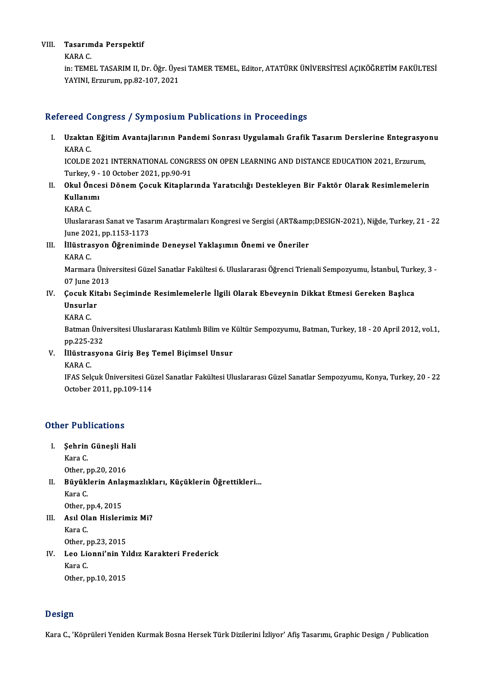# VIII. Tasarımda Perspektif<br>V<sup>ARA C</sup> Tasarım<br>KARA C.<br>in: TEME

Tasarımda Perspektif<br>KARA C.<br>in: TEMEL TASARIM II, Dr. Öğr. Üyesi TAMER TEMEL, Editor, ATATÜRK ÜNİVERSİTESİ AÇIKÖĞRETİM FAKÜLTESİ<br>YAYINI Fazurum, NP 82,107,2021 KARA C.<br>in: TEMEL TASARIM II, Dr. Öğr. Üye<br>YAYINI, Erzurum, pp.82-107, 2021

# YAYINI, Erzurum, pp.82-107, 2021<br>Refereed Congress / Symposium Publications in Proceedings

efereed Congress / Symposium Publications in Proceedings<br>I. Uzaktan Eğitim Avantajlarının Pandemi Sonrası Uygulamalı Grafik Tasarım Derslerine Entegrasyonu<br>KARA C reed<br>Uzaktan<br>KARA C.<br>ICOLDE Uzaktan Eğitim Avantajlarının Pandemi Sonrası Uygulamalı Grafik Tasarım Derslerine Entegrasyo<br>KARA C.<br>ICOLDE 2021 INTERNATIONAL CONGRESS ON OPEN LEARNING AND DISTANCE EDUCATION 2021, Erzurum,<br>Turkay 0, 10 Ostober 2021 nr 9

KARA C.<br>ICOLDE 2021 INTERNATIONAL CONGR<br>Turkey, 9 - 10 October 2021, pp.90-91<br>Okul Öngesi Dönem Cesult Kitapler ICOLDE 2021 INTERNATIONAL CONGRESS ON OPEN LEARNING AND DISTANCE EDUCATION 2021, Erzurum,<br>Turkey, 9 - 10 October 2021, pp.90-91<br>II. Okul Öncesi Dönem Çocuk Kitaplarında Yaratıcılığı Destekleyen Bir Faktör Olarak Resimlemel

Turkey, 9 -<br><mark>Okul Önce</mark><br>Kullanımı<br>KARA C Okul Ön<br>Kullanıı<br>KARA C.

**Kullanımı**<br>KARA C.<br>Uluslararası Sanat ve Tasarım Araştırmaları Kongresi ve Sergisi (ART&amp;DESIGN-2021), Niğde, Turkey, 21 - 22<br>Iune 2021 ann 1152 1172 KARA C.<br>Uluslararası Sanat ve Tasa<br>June 2021, pp.1153-1173<br>İllüstrasyon, Öğrenimin Uluslararası Sanat ve Tasarım Araştırmaları Kongresi ve Sergisi (ART&amp)<br>June 2021, pp.1153-1173<br>III. İllüstrasyon Öğreniminde Deneysel Yaklaşımın Önemi ve Öneriler

June 202<br><mark>İllüstra:</mark><br>KARA C.<br>Marmar

İllüstrasyon Öğreniminde Deneysel Yaklaşımın Önemi ve Öneriler<br>KARA C.<br>Marmara Üniversitesi Güzel Sanatlar Fakültesi 6. Uluslararası Öğrenci Trienali Sempozyumu, İstanbul, Turkey, 3 -KARA C.<br>Marmara Üniv<br>07 June 2013<br>Cosuk Kitabı Marmara Üniversitesi Güzel Sanatlar Fakültesi 6. Uluslararası Öğrenci Trienali Sempozyumu, İstanbul, Turk<br>17 June 2013<br>IV. Çocuk Kitabı Seçiminde Resimlemelerle İlgili Olarak Ebeveynin Dikkat Etmesi Gereken Başlıca<br>Insu

# 07 June 20<br>Çocuk Kit<br>Unsurlar<br>KARA C **Çocuk K<br>Unsurla<br>KARA C.**

**Unsurlar**<br>KARA C.<br>Batman Üniversitesi Uluslararası Katılımlı Bilim ve Kültür Sempozyumu, Batman, Turkey, 18 - 20 April 2012, vol.1,<br>nn 225 222 KARA C.<br>Batman Üniv<br>pp.225-232<br>Ulüstrasya Batman Üniversitesi Uluslararası Katılımlı Bilim ve k<br>pp.225-232<br>V. İllüstrasyona Giriş Beş Temel Biçimsel Unsur<br>KARA C

- pp.225-2<br><mark>İllüstra:</mark><br>KARA C.<br>IEAS Sel
	-

KARA C.<br>IFAS Selçuk Üniversitesi Güzel Sanatlar Fakültesi Uluslararası Güzel Sanatlar Sempozyumu, Konya, Turkey, 20 - 22 October 2011, pp.109-114

# October 2011, pp.1<br>Other Publications

ther Publications<br>I. Sehrin Güneşli Hali<br>Kara C I. Şehrin Güneşli Hali<br>Kara C.

Şehrin Güneşli H.<br>Kara C.<br>Other, pp.20, 2016<br>Püvüklerin Anlas

Kara C.<br>Other, pp.20, 2016<br>II. Büyüklerin Anlaşmazlıkları, Küçüklerin Öğrettikleri...<br>Kara C **Büyüklerin Anla<br>Kara C.<br>Other, pp.4, 2015** 

Other, p<br>**Büyük!**<br>Kara C.<br>Other r

Kara C.<br>Other, pp.4, 2015<br>III. Asıl Olan Hislerimiz Mi?<br>Kara C Other, pp.4, 2015<br>Asıl Olan Hislerin<br>Kara C.<br>Other, pp.23, 2015 Asıl Olan Hislerin<br>Kara C.<br>Other, pp.23, 2015<br>Lee Lienni'nin V.

# Kara C.<br>Other, pp.23, 2015<br>IV. Leo Lionni'nin Yıldız Karakteri Frederick<br>Kara C Other, p<br>Leo Lio<br>Kara C.<br>Other r Leo Lionni'nin Yı<br>Kara C.<br>Other, pp.10, 2015

0ther, pp.10, 2015<br>Design

Kara C., 'Köprüleri Yeniden Kurmak Bosna Hersek Türk Dizilerini İzliyor' Afiş Tasarımı, Graphic Design / Publication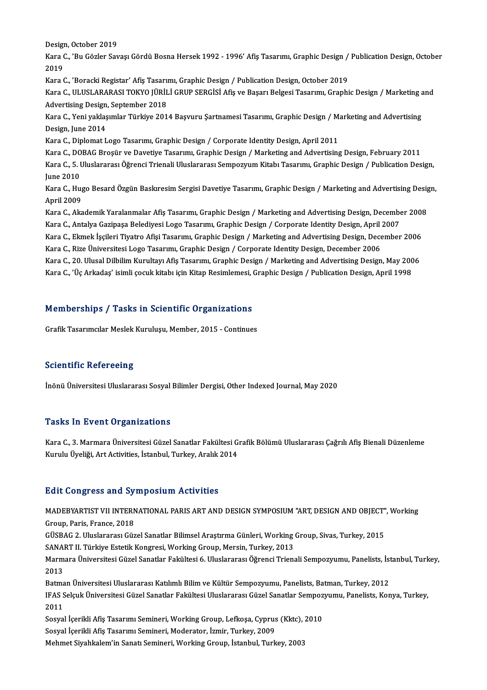Design, October 2019<br>Vara C. 'Bu Cörler Sau

Kara C., 'Bu Gözler Savaşı Gördü Bosna Hersek 1992 - 1996' Afiş Tasarımı, Graphic Design / Publication Design, October<br>2019 Desigi<br>Kara (<br>2019 Kara C., 'Bu Gözler Savaşı Gördü Bosna Hersek 1992 - 1996' Afiş Tasarımı, Graphic Design /<br>2019<br>Kara C., 'Boracki Registar' Afiş Tasarımı, Graphic Design / Publication Design, October 2019<br>Kara C., 'Boracki Registar' Afiş

2019<br>Kara C., 'Boracki Registar' Afiş Tasarımı, Graphic Design / Publication Design, October 2019<br>Kara C., ULUSLARARASI TOKYO JÜRİLİ GRUP SERGİSİ Afiş ve Başarı Belgesi Tasarımı, Graphic Design / Marketing and<br>Advertising Kara C., 'Boracki Registar' Afiş Tasarı<br>Kara C., ULUSLARARASI TOKYO JÜRİL<br>Advertising Design, September 2018<br>Kara C. Yani yaklasımlar Türkiye 201 Kara C., ULUSLARARASI TOKYO JÜRİLİ GRUP SERGİSİ Afiş ve Başarı Belgesi Tasarımı, Graphic Design / Marketing a<br>Advertising Design, September 2018<br>Kara C., Yeni yaklaşımlar Türkiye 2014 Başvuru Şartnamesi Tasarımı, Graphic D

Advertising Design<br>Kara C., Yeni yaklaş<br>Design, June 2014<br>Kara C. Dinlamat I Kara C., Yeni yaklaşımlar Türkiye 2014 Başvuru Şartnamesi Tasarımı, Graphic Design / M.<br>Design, June 2014<br>Kara C., Diplomat Logo Tasarımı, Graphic Design / Corporate Identity Design, April 2011<br>Kara C., Diplomat Logo Tasar Design, June 2014<br>Kara C., Diplomat Logo Tasarımı, Graphic Design / Corporate Identity Design, April 2011<br>Kara C., DOBAG Broşür ve Davetiye Tasarımı, Graphic Design / Marketing and Advertising Design, February 2011<br>Kara C.

Kara C., Diplomat Logo Tasarımı, Graphic Design / Corporate Identity Design, April 2011<br>Kara C., DOBAG Broşür ve Davetiye Tasarımı, Graphic Design / Marketing and Advertising Design, February 2011<br>Kara C., 5. Uluslararası Kara C., DO<br>Kara C., 5. l<br>June 2010<br>Kara C. Hu Kara C., 5. Uluslararası Öğrenci Trienali Uluslararası Sempozyum Kitabı Tasarımı, Graphic Design / Publication Design,<br>June 2010<br>Kara C., Hugo Besard Özgün Baskıresim Sergisi Davetiye Tasarımı, Graphic Design / Marketing a

June 2010<br>Kara C., Hugo Besard Özgün Baskıresim Sergisi Davetiye Tasarımı, Graphic Design / Marketing and Advertising Design,<br>April 2009 Kara C., Hugo Besard Özgün Baskıresim Sergisi Davetiye Tasarımı, Graphic Design / Marketing and Advertising Desig<br>April 2009<br>Kara C., Akademik Yaralanmalar Afiş Tasarımı, Graphic Design / Marketing and Advertising Design,

April 2009<br>Kara C., Akademik Yaralanmalar Afiş Tasarımı, Graphic Design / Marketing and Advertising Design, Decembe<br>Kara C., Antalya Gazipaşa Belediyesi Logo Tasarımı, Graphic Design / Corporate Identity Design, April 2007 Kara C., Akademik Yaralanmalar Afiş Tasarımı, Graphic Design / Marketing and Advertising Design, December 2008<br>Kara C., Antalya Gazipaşa Belediyesi Logo Tasarımı, Graphic Design / Corporate Identity Design, April 2007<br>Kara

Kara C., Antalya Gazipaşa Belediyesi Logo Tasarımı, Graphic Design / Corporate Identity Design, April 2007<br>Kara C., Ekmek İşçileri Tiyatro Afişi Tasarımı, Graphic Design / Marketing and Advertising Design, December 2006<br>Ka

Kara C., Ekmek İşçileri Tiyatro Afişi Tasarımı, Graphic Design / Marketing and Advertising Design, December 2006<br>Kara C., Rize Üniversitesi Logo Tasarımı, Graphic Design / Corporate Identity Design, December 2006<br>Kara C., Kara C., Rize Üniversitesi Logo Tasarımı, Graphic Design / Corporate Identity Design, December 2006<br>Kara C., 20. Ulusal Dilbilim Kurultayı Afiş Tasarımı, Graphic Design / Marketing and Advertising Design, May 200<br>Kara C.,

# Kara C., Uç Arkadaş İsinin çocuk kitabı için Kitap Resimiemesi, ı<br>Memberships / Tasks in Scientific Organizations Memberships / Tasks in Scientific Organizations<br>Grafik Tasarımcılar Meslek Kuruluşu, Member, 2015 - Continues

Grafik Tasarımcılar Meslek Kuruluşu, Member, 2015 - Continues<br>Scientific Refereeing

İnönü Üniversitesi Uluslararası Sosyal Bilimler Dergisi, Other Indexed Journal, May 2020

### **Tasks In Event Organizations**

Tasks In Event Organizations<br>Kara C., 3. Marmara Üniversitesi Güzel Sanatlar Fakültesi Grafik Bölümü Uluslararası Çağrılı Afiş Bienali Düzenleme<br>Kurulu Üveliği, Art Activities, İstanbul, Turkey, Aralık 2014 1 doku 111 2 vent en gammatısınd<br>Kara C., 3. Marmara Üniversitesi Güzel Sanatlar Fakültesi G<br>Kurulu Üyeliği, Art Activities, İstanbul, Turkey, Aralık 2014 Kurulu Üyeliği, Art Activities, İstanbul, Turkey, Aralık 2014<br>Edit Congress and Symposium Activities

Edit Congress and Symposium Activities<br>MADEBYARTIST VII INTERNATIONAL PARIS ART AND DESIGN SYMPOSIUM "ART, DESIGN AND OBJECT", Working<br>Sreup, Peris, Erange 2018 Group, Paris, France, 2018 MADEBYARTIST VII INTERNATIONAL PARIS ART AND DESIGN SYMPOSIUM "ART, DESIGN AND OBJECT"<br>Group, Paris, France, 2018<br>GÜSBAG 2. Uluslararası Güzel Sanatlar Bilimsel Araştırma Günleri, Working Group, Sivas, Turkey, 2015<br>SANAPT

GÜSBAG 2. Uluslararası Güzel Sanatlar Bilimsel Araştırma Günleri, Working Group, Sivas, Turkey, 2015<br>SANART II. Türkiye Estetik Kongresi, Working Group, Mersin, Turkey, 2013

GÜSBAG 2. Uluslararası Güzel Sanatlar Bilimsel Araştırma Günleri, Working Group, Sivas, Turkey, 2015<br>SANART II. Türkiye Estetik Kongresi, Working Group, Mersin, Turkey, 2013<br>Marmara Üniversitesi Güzel Sanatlar Fakültesi 6. SANA<br>Marm<br>2013<br><sup>Patma</sup> Marmara Üniversitesi Güzel Sanatlar Fakültesi 6. Uluslararası Öğrenci Trienali Sempozyumu, Panelists, İst<br>2013<br>Batman Üniversitesi Uluslararası Katılımlı Bilim ve Kültür Sempozyumu, Panelists, Batman, Turkey, 2012<br>IEAS Sel

2013<br>Batman Üniversitesi Uluslararası Katılımlı Bilim ve Kültür Sempozyumu, Panelists, Batman, Turkey, 2012<br>IFAS Selçuk Üniversitesi Güzel Sanatlar Fakültesi Uluslararası Güzel Sanatlar Sempozyumu, Panelists, Konya, Turkey Batma<br>IFAS S<br>2011 IFAS Selçuk Üniversitesi Güzel Sanatlar Fakültesi Uluslararası Güzel Sanatlar Sempoz<br>2011<br>Sosyal İçerikli Afiş Tasarımı Semineri, Working Group, Lefkoşa, Cyprus (Kktc), 2010<br>Sosyal İserikli Afiş Tasarımı Semineri, Moderato

2011<br>Sosyal İçerikli Afiş Tasarımı Semineri, Working Group, Lefkoşa, Cyprus (Kktc), İ<br>Sosyal İçerikli Afiş Tasarımı Semineri, Moderator, İzmir, Turkey, 2009<br>Mehmet Siyahkalem'in Sanatı Semineri, Working Group, İstanbul, Tu Sosyal İçerikli Afiş Tasarımı Semineri, Working Group, Lefkoşa, Cyprus (Kktc), 2010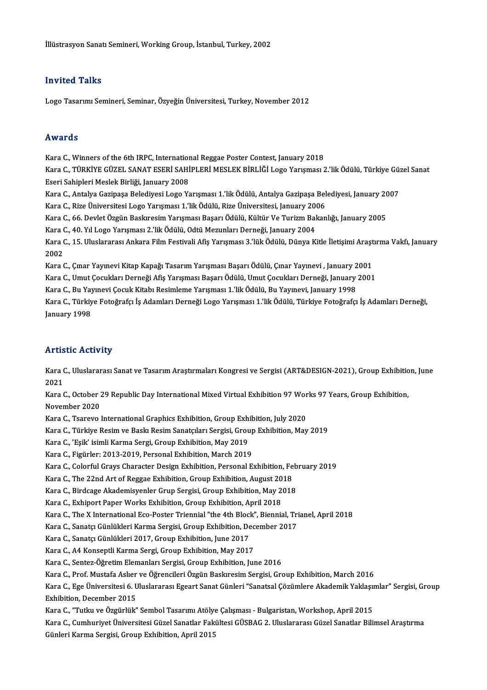## Invited Talks

Logo Tasarımı Semineri, Seminar, Özyeğin Üniversitesi, Turkey, November 2012

## Awards

Awards<br>Kara C., Winners of the 6th IRPC, International Reggae Poster Contest, January 2018<br>Kara C., Tüpkiye Cüzel, SANAT ESERİ SAHİDI ERİ MESLEK PİRLİĞL AGO Yangması 2

rrwards<br>Kara C., Winners of the 6th IRPC, International Reggae Poster Contest, January 2018<br>Kara C., TÜRKİYE GÜZEL SANAT ESERİ SAHİPLERİ MESLEK BİRLİĞİ Logo Yarışması 2.'lik Ödülü, Türkiye Güzel Sanat Kara C., Winners of the 6th IRPC, Internation<br>Kara C., TÜRKİYE GÜZEL SANAT ESERİ SAHİ<br>Eseri Sahipleri Meslek Birliği, January 2008<br>Kara C. Antalya Gerinesa Belediyesi Lege Ve Kara C., TÜRKİYE GÜZEL SANAT ESERİ SAHİPLERİ MESLEK BİRLİĞİ Logo Yarışması 2.'lik Ödülü, Türkiye Gü:<br>Eseri Sahipleri Meslek Birliği, January 2008<br>Kara C., Antalya Gazipaşa Belediyesi Logo Yarışması 1.'lik Ödülü, Antalya Ga Eseri Sahipleri Meslek Birliği, January 2008<br>Kara C., Antalya Gazipaşa Belediyesi Logo Yarışması 1.'lik Ödülü, Antalya Gazipaşa Bel<br>Kara C., Rize Üniversitesi Logo Yarışması 1.'lik Ödülü, Rize Üniversitesi, January 2006<br>Ka

Kara C., Antalya Gazipaşa Belediyesi Logo Yarışması 1.'lik Ödülü, Antalya Gazipaşa Belediyesi, January 20<br>Kara C., Rize Üniversitesi Logo Yarışması 1.'lik Ödülü, Rize Üniversitesi, January 2006<br>Kara C., 66. Devlet Özgün Ba

Kara C., Rize Üniversitesi Logo Yarışması 1.'lik Ödülü, Rize Üniversitesi, January 2006<br>Kara C., 66. Devlet Özgün Baskıresim Yarışması Başarı Ödülü, Kültür Ve Turizm Bakanlığı, January 2005<br>Kara C.. 40. Yıl Logo Yarısması

Kara C., 66. Devlet Özgün Baskıresim Yarışması Başarı Ödülü, Kültür Ve Turizm Bakanlığı, January 2005<br>Kara C., 40. Yıl Logo Yarışması 2.'lik Ödülü, Odtü Mezunları Derneği, January 2004<br>Kara C., 15. Uluslararası Ankara Film Kara (<br>Kara (<br>2002<br>Kara ( Kara C., 15. Uluslararası Ankara Film Festivali Afiş Yarışması 3.'lük Ödülü, Dünya Kitle İletişimi Araşt<br>2002<br>Kara C., Çınar Yayınevi Kitap Kapağı Tasarım Yarışması Başarı Ödülü, Çınar Yayınevi , January 2001<br>Kara C., Çına 2002<br>Kara C., Çınar Yayınevi Kitap Kapağı Tasarım Yarışması Başarı Ödülü, Çınar Yayınevi , January 2001<br>Kara C., Umut Çocukları Derneği Afiş Yarışması Başarı Ödülü, Umut Çocukları Derneği, January 2001<br>Kara C., Umut Çocukl

Kara C., Çınar Yayınevi Kitap Kapağı Tasarım Yarışması Başarı Ödülü, Çınar Yayınevi , January 2<br>Kara C., Umut Çocukları Derneği Afiş Yarışması Başarı Ödülü, Umut Çocukları Derneği, January<br>Kara C., Bu Yayınevi Çocuk Kitabı

Kara C., Umut Çocukları Derneği Afiş Yarışması Başarı Ödülü, Umut Çocukları Derneği, January 2001<br>Kara C., Bu Yayınevi Çocuk Kitabı Resimleme Yarışması 1.'lik Ödülü, Bu Yayınevi, January 1998<br>Kara C., Türkiye Fotoğrafçı İş Kara C., Bu Yay<br>Kara C., Türkiy<br>January 1998

# January 1998<br>Artistic Activity

**Artistic Activity**<br>Kara C., Uluslararası Sanat ve Tasarım Araştırmaları Kongresi ve Sergisi (ART&DESIGN-2021), Group Exhibition, June<br>2021 211 115<br>Kara (<br>2021 Kara C., Uluslararası Sanat ve Tasarım Araştırmaları Kongresi ve Sergisi (ART&DESIGN-2021), Group Exhibitio<br>2021<br>Kara C., October 29 Republic Day International Mixed Virtual Exhibition 97 Works 97 Years, Group Exhibition,<br>

2021<br>Kara C., October 2<br>November 2020<br>Kara C. Taaraya 2 Kara C., October 29 Republic Day International Mixed Virtual Exhibition 97 Wor<br>November 2020<br>Kara C., Tsarevo International Graphics Exhibition, Group Exhibition, July 2020<br>Kara C., Türkiya Basim ve Baskı Basim Sanataları

November 2020<br>Kara C., Tsarevo International Graphics Exhibition, Group Exhibition, July 2020<br>Kara C., Türkiye Resim ve Baskı Resim Sanatçıları Sergisi, Group Exhibition, May 2019

Kara C., Tsarevo International Graphics Exhibition, Group Exh<br>Kara C., Türkiye Resim ve Baskı Resim Sanatçıları Sergisi, Grou<br>Kara C., 'Eşik' isimli Karma Sergi, Group Exhibition, May 2019<br>Kara C., Eigürler: 2012-2019, Per Kara C., Türkiye Resim ve Baskı Resim Sanatçıları Sergisi, Group<br>Kara C., 'Eşik' isimli Karma Sergi, Group Exhibition, May 2019<br>Kara C., Figürler: 2013-2019, Personal Exhibition, March 2019<br>Kara C., Colorful Cravs Charaste

Kara C., Figürler: 2013-2019, Personal Exhibition, March 2019<br>Kara C., Colorful Grays Character Design Exhibition, Personal Exhibition, February 2019 Kara C., Figürler: 2013-2019, Personal Exhibition, March 2019<br>Kara C., Colorful Grays Character Design Exhibition, Personal Exhibition, Fe<br>Kara C., The 22nd Art of Reggae Exhibition, Group Exhibition, August 2018<br>Kara C., Kara C., Colorful Grays Character Design Exhibition, Personal Exhibition, Feb<br>Kara C., The 22nd Art of Reggae Exhibition, Group Exhibition, August 2018<br>Kara C., Birdcage Akademisyenler Grup Sergisi, Group Exhibition, May 2

Kara C., The 22nd Art of Reggae Exhibition, Group Exhibition, August 20<br>Kara C., Birdcage Akademisyenler Grup Sergisi, Group Exhibition, May 2<br>Kara C., Exhiport Paper Works Exhibition, Group Exhibition, April 2018<br>Kara C.,

Kara C., Birdcage Akademisyenler Grup Sergisi, Group Exhibition, May 2018<br>Kara C., Exhiport Paper Works Exhibition, Group Exhibition, April 2018<br>Kara C., The X International Eco-Poster Triennial "the 4th Block", Biennial, Kara C., Exhiport Paper Works Exhibition, Group Exhibition, April 2018<br>Kara C., The X International Eco-Poster Triennial "the 4th Block", Biennial, Tri<br>Kara C., Sanatçı Günlükleri Karma Sergisi, Group Exhibition, December

Kara C., The X International Eco-Poster Triennial "the 4th Block<br>Kara C., Sanatçı Günlükleri Karma Sergisi, Group Exhibition, De<br>Kara C., Sanatçı Günlükleri 2017, Group Exhibition, June 2017<br>Kara C., Ad Konsentli Karma Ser Kara C., Sanatçı Günlükleri Karma Sergisi, Group Exhibition, Dec<br>Kara C., Sanatçı Günlükleri 2017, Group Exhibition, June 2017<br>Kara C., A4 Konseptli Karma Sergi, Group Exhibition, May 2017<br>Kara C., Santar Öğretim Elemenler

Kara C., Sanatçı Günlükleri 2017, Group Exhibition, June 2017<br>Kara C., A4 Konseptli Karma Sergi, Group Exhibition, May 2017<br>Kara C., Sentez-Öğretim Elemanları Sergisi, Group Exhibition, June 2016<br>Kara C., Buef Mustafa Aslı

Kara C., Sentez-Öğretim Elemanları Sergisi, Group Exhibition, June 2016<br>Kara C., Prof. Mustafa Aslıer ve Öğrencileri Özgün Baskıresim Sergisi, Group Exhibition, March 2016

Kara C., Sentez-Öğretim Elemanları Sergisi, Group Exhibition, June 2016<br>Kara C., Prof. Mustafa Aslıer ve Öğrencileri Özgün Baskıresim Sergisi, Group Exhibition, March 2016<br>Kara C., Ege Üniversitesi 6. Uluslararası Egeart S Kara C., Prof. Mustafa Asher<br>Kara C., Ege Üniversitesi 6. U<br>Exhibition, December 2015<br>Kara C. "Tutlu ve Özgürlül" Kara C., Ege Üniversitesi 6. Uluslararası Egeart Sanat Günleri "Sanatsal Çözümlere Akademik Yaklaşıı<br>Exhibition, December 2015<br>Kara C., "Tutku ve Özgürlük" Sembol Tasarımı Atölye Çalışması - Bulgaristan, Workshop, April 20

Exhibition, December 2015<br>Kara C., "Tutku ve Özgürlük" Sembol Tasarımı Atölye Çalışması - Bulgaristan, Workshop, April 2015<br>Kara C., Cumhuriyet Üniversitesi Güzel Sanatlar Fakültesi GÜSBAG 2. Uluslararası Güzel Sanatlar Bi Kara C., "Tutku ve Özgürlük" Sembol Tasarımı Atölye<br>Kara C., Cumhuriyet Üniversitesi Güzel Sanatlar Fak<br>Günleri Karma Sergisi, Group Exhibition, April 2015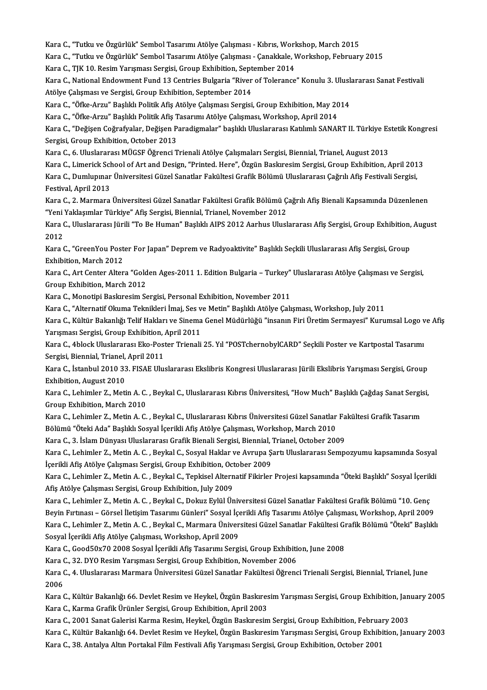Kara C., "Tutku ve Özgürlük" Sembol Tasarımı Atölye Çalışması - Kıbrıs, Workshop, March 2015<br>Kara C., "Tutku ve Özgürlük" Sembol Tasarımı Atölye Çalışması - Kıbrıs, Workshop, March 2015

Kara C., "Tutku ve Özgürlük" Sembol Tasarımı Atölye Çalışması - Kıbrıs, Workshop, March 2015<br>Kara C., "Tutku ve Özgürlük" Sembol Tasarımı Atölye Çalışması - Çanakkale, Workshop, February 2015<br>Kara C., TIK 10, Resim Yanısma

Kara C., "Tutku ve Özgürlük" Sembol Tasarımı Atölye Çalışması - Kıbrıs, Worl<br>Kara C., "Tutku ve Özgürlük" Sembol Tasarımı Atölye Çalışması - Çanakkale, V<br>Kara C., TJK 10. Resim Yarışması Sergisi, Group Exhibition, Septembe

Kara C., "Tutku ve Özgürlük" Sembol Tasarımı Atölye Çalışması - Çanakkale, Workshop, February 2015<br>Kara C., TJK 10. Resim Yarışması Sergisi, Group Exhibition, September 2014<br>Kara C., National Endowment Fund 13 Centries Bul Kara C., TJK 10. Resim Yarışması Sergisi, Group Exhibition, Sept<br>Kara C., National Endowment Fund 13 Centries Bulgaria "River<br>Atölye Çalışması ve Sergisi, Group Exhibition, September 2014<br>Kara C. "Öfke Arzu" Baslıklı Bolit Kara C., National Endowment Fund 13 Centries Bulgaria "River of Tolerance" Konulu 3. Ulusl<br>Atölye Çalışması ve Sergisi, Group Exhibition, September 2014<br>Kara C., "Öfke-Arzu" Başlıklı Politik Afiş Atölye Çalışması Sergisi,

Atölye Çalışması ve Sergisi, Group Exhibition, September 2014<br>Kara C., "Öfke-Arzu" Başlıklı Politik Afiş Atölye Çalışması Sergisi, Group Exhibition, May 2014

Kara C., "Öfke-Arzu" Başlıklı Politik Afiş Tasarımı Atölye Çalışması, Workshop, April 2014

Kara C., "Değişen Coğrafyalar, Değişen Paradigmalar" başlıklı Uluslararası Katılımlı SANART II. Türkiye Estetik Kongresi<br>Sergisi, Group Exhibition, October 2013 Kara C., "Değişen Coğrafyalar, Değişen Paradigmalar" başlıklı Uluslararası Katılımlı SANART II. Türkiye Es<br>Sergisi, Group Exhibition, October 2013<br>Kara C., 6. Uluslararası MÜGSF Öğrenci Trienali Atölye Çalışmaları Sergisi, Sergisi, Group Exhibition, October 2013<br>Kara C., 6. Uluslararası MÜGSF Öğrenci Trienali Atölye Çalışmaları Sergisi, Biennial, Trianel, August 2013<br>Kara C., Limerick School of Art and Design, "Printed. Here", Özgün Baskıres

Kara C., 6. Uluslararası MÜGSF Öğrenci Trienali Atölye Çalışmaları Sergisi, Biennial, Trianel, August 2013<br>Kara C., Limerick School of Art and Design, "Printed. Here", Özgün Baskıresim Sergisi, Group Exhibition, April 201<br> Kara C., Limerick School of Art and Design, "Printed. Here", Özgün Baskıresim Sergisi, Group Exhibition, April 2013<br>Kara C., Dumlupınar Üniversitesi Güzel Sanatlar Fakültesi Grafik Bölümü Uluslararası Çağrılı Afiş Festival Kara C., Dumlupınar Üniversitesi Güzel Sanatlar Fakültesi Grafik Bölümü Uluslararası Çağrılı Afiş Festivali Sergisi,<br>Festival, April 2013<br>Kara C., 2. Marmara Üniversitesi Güzel Sanatlar Fakültesi Grafik Bölümü Çağrılı Afiş

Festival, April 2013<br>Kara C., 2. Marmara Üniversitesi Güzel Sanatlar Fakültesi Grafik Bölümü Ç<br>"Yeni Yaklaşımlar Türkiye" Afiş Sergisi, Biennial, Trianel, November 2012<br>Kara G. Uluslararası Fürli "To Bo Human" Başlıklı AIB Kara C., 2. Marmara Üniversitesi Güzel Sanatlar Fakültesi Grafik Bölümü Çağrılı Afiş Bienali Kapsamında Düzenlenen<br>"Yeni Yaklaşımlar Türkiye" Afiş Sergisi, Biennial, Trianel, November 2012<br>Kara C., Uluslararası Jürili "To

"Yeni Yaklaşımlar Türkiye" Afiş Sergisi, Biennial, Trianel, November 2012<br>Kara C., Uluslararası Jürili "To Be Human" Başlıklı AIPS 2012 Aarhus Ulus<br>2012 Kara C., Uluslararası Jürili "To Be Human" Başlıklı AIPS 2012 Aarhus Uluslararası Afiş Sergisi, Group Exhibition, August<br>2012<br>Kara C., "GreenYou Poster For Japan" Deprem ve Radyoaktivite" Başlıklı Seçkili Uluslararası Afiş

Kara C., "GreenYou Poster For Japan" Deprem ve Radyoaktivite" Baslıklı Seckili Uluslararası Afis Sergisi, Group Kara C., "GreenYou Poster For Japan" Deprem ve Radyoaktivite" Başlıklı Seçkili Uluslararası Afiş Sergisi, Group<br>Exhibition, March 2012<br>Kara C., Art Center Altera "Golden Ages-2011 1. Edition Bulgaria – Turkey" Uluslararası

Exhibition, March 2012<br>Kara C., Art Center Altera "Gold<br>Group Exhibition, March 2012<br>Kara C. Monotini Baskresim Sc Kara C., Art Center Altera "Golden Ages-2011 1. Edition Bulgaria – Turkey"<br>Group Exhibition, March 2012<br>Kara C., Monotipi Baskıresim Sergisi, Personal Exhibition, November 2011<br>Kara C. "Alternatif Olauma Telmikleri İmai, S Group Exhibition, March 2012<br>Kara C., Monotipi Baskıresim Sergisi, Personal Exhibition, November 2011<br>Kara C., "Alternatif Okuma Teknikleri İmaj, Ses ve Metin" Başlıklı Atölye Çalışması, Workshop, July 2011<br>Kara C., Kültür

Kara C., Monotipi Baskıresim Sergisi, Personal Exhibition, November 2011<br>Kara C., "Alternatif Okuma Teknikleri İmaj, Ses ve Metin" Başlıklı Atölye Çalışması, Workshop, July 2011<br>Kara C., Kültür Bakanlığı Telif Hakları ve S Kara C., "Alternatif Okuma Teknikleri İmaj, Ses v<br>Kara C., Kültür Bakanlığı Telif Hakları ve Sinema<br>Yarışması Sergisi, Group Exhibition, April 2011<br>Kara C. 4blask Uluslararası Eka Bastar Trianali Kara C., Kültür Bakanlığı Telif Hakları ve Sinema Genel Müdürlüğü "insanın Firi Üretim Sermayesi" Kurumsal Logo v<br>Yarışması Sergisi, Group Exhibition, April 2011<br>Kara C., 4block Uluslararası Eko-Poster Trienali 25. Yıl "PO

Yarışması Sergisi, Group Exhibition, April 2011<br>Kara C., 4block Uluslararası Eko-Poster Trienali 25. Yıl "POSTchernobylCARD" Seçkili Poster ve Kartpostal Tasarımı<br>Sergisi, Biennial, Trianel, April 2011 Kara C., 4block Uluslararası Eko-Poster Trienali 25. Yıl "POSTchernobylCARD" Seçkili Poster ve Kartpostal Tasarımı<br>Sergisi, Biennial, Trianel, April 2011<br>Kara C., İstanbul 2010 33. FISAE Uluslararası Ekslibris Kongresi Ulu

Sergisi, Biennial, Trianel,<br>Kara C., İstanbul 2010 33<br>Exhibition, August 2010<br>Kara C. Labimlar 7. Mati Kara C., İstanbul 2010 33. FISAE Uluslararası Ekslibris Kongresi Uluslararası Jürili Ekslibris Yarışması Sergisi, Group<br>Exhibition, August 2010<br>Kara C., Lehimler Z., Metin A. C. , Beykal C., Uluslararası Kıbrıs Üniversites

Exhibition, August 2010<br>Kara C., Lehimler Z., Metin A. C.<br>Group Exhibition, March 2010<br>Kara C. Lehimler Z. Metin A. C.

Group Exhibition, March 2010<br>Kara C., Lehimler Z., Metin A. C. , Beykal C., Uluslararası Kıbrıs Üniversitesi Güzel Sanatlar Fakültesi Grafik Tasarım Group Exhibition, March 2010<br>Kara C., Lehimler Z., Metin A. C. , Beykal C., Uluslararası Kıbrıs Üniversitesi Güzel Sanatlar<br>Bölümü "Öteki Ada" Başlıklı Sosyal İçerikli Afiş Atölye Çalışması, Workshop, March 2010<br>Kara G. 3. Kara C., Lehimler Z., Metin A. C. , Beykal C., Uluslararası Kıbrıs Üniversitesi Güzel Sanatlar Fa<br>Bölümü "Öteki Ada" Başlıklı Sosyal İçerikli Afiş Atölye Çalışması, Workshop, March 2010<br>Kara C., 3. İslam Dünyası Uluslarara

Bölümü "Öteki Ada" Başlıklı Sosyal İçerikli Afiş Atölye Çalışması, Workshop, March 2010<br>Kara C., 3. İslam Dünyası Uluslararası Grafik Bienali Sergisi, Biennial, Trianel, October 2009<br>Kara C., Lehimler Z., Metin A. C. , Bey Kara C., 3. İslam Dünyası Uluslararası Grafik Bienali Sergisi, Biennial, '<br>Kara C., Lehimler Z., Metin A. C. , Beykal C., Sosyal Haklar ve Avrupa Ş.<br>İçerikli Afiş Atölye Çalışması Sergisi, Group Exhibition, October 2009<br>Ka Kara C., Lehimler Z., Metin A. C. , Beykal C., Sosyal Haklar ve Avrupa Şartı Uluslararası Sempozyumu kapsamında Sosyal<br>İçerikli Afiş Atölye Çalışması Sergisi, Group Exhibition, October 2009<br>Kara C., Lehimler Z., Metin A. C

İçerikli Afiş Atölye Çalışması Sergisi, Group Exhibition, October 2009<br>Kara C., Lehimler Z., Metin A. C. , Beykal C., Tepkisel Alternatif Fikirler<br>Afiş Atölye Çalışması Sergisi, Group Exhibition, July 2009 Kara C., Lehimler Z., Metin A. C. , Beykal C., Tepkisel Alternatif Fikirler Projesi kapsamında "Öteki Başlıklı" Sosyal İçerikli<br>Afiş Atölye Çalışması Sergisi, Group Exhibition, July 2009<br>Kara C., Lehimler Z., Metin A. C. ,

Kara C., Lehimler Z., Metin A. C., Beykal C., Dokuz Eylül Üniversitesi Güzel Sanatlar Fakültesi Grafik Bölümü "10. Genç

Kara C., Lehimler Z., Metin A. C. , Beykal C., Dokuz Eylül Üniversitesi Güzel Sanatlar Fakültesi Grafik Bölümü "10. Genç<br>Beyin Fırtınası – Görsel İletişim Tasarımı Günleri" Sosyal İçerikli Afiş Tasarımı Atölye Çalışması, W Beyin Fırtınası – Görsel İletişim Tasarımı Günleri" Sosyal İçe<br>Kara C., Lehimler Z., Metin A. C. , Beykal C., Marmara Üniver<br>Sosyal İçerikli Afiş Atölye Çalışması, Workshop, April 2009<br>Kara C. CoodE0v70 2008 Sosyal İserikl Kara C., Lehimler Z., Metin A. C. , Beykal C., Marmara Üniversitesi Güzel Sanatlar Fakültesi Gı<br>Sosyal İçerikli Afiş Atölye Çalışması, Workshop, April 2009<br>Kara C., Good50x70 2008 Sosyal İçerikli Afiş Tasarımı Sergisi, Gro

Sosyal İçerikli Afiş Atölye Çalışması, Workshop, April 2009<br>Kara C., Good50x70 2008 Sosyal İçerikli Afiş Tasarımı Sergisi, Group Exhibition, June 2008<br>Kara C., 32. DYO Resim Yarışması Sergisi, Group Exhibition, November 20

Kara C., Good50x70 2008 Sosyal İçerikli Afiş Tasarımı Sergisi, Group Exhibition, June 2008<br>Kara C., 32. DYO Resim Yarışması Sergisi, Group Exhibition, November 2006<br>Kara C., 4. Uluslararası Marmara Üniversitesi Güzel Sanat Kara (<br>Kara (<br>2006<br>Kara ( Kara C., 4. Uluslararası Marmara Üniversitesi Güzel Sanatlar Fakültesi Öğrenci Trienali Sergisi, Biennial, Trianel, June<br>2006<br>Kara C., Kültür Bakanlığı 66. Devlet Resim ve Heykel, Özgün Baskıresim Yarışması Sergisi, Group

2006<br>Kara C., Kültür Bakanlığı 66. Devlet Resim ve Heykel, Özgün Baskıres<br>Kara C., Karma Grafik Ürünler Sergisi, Group Exhibition, April 2003<br>Kara G. 2001 Sanat Galerisi Karma Besim, Heykel, Özgün Beskresim Kara C., Kültür Bakanlığı 66. Devlet Resim ve Heykel, Özgün Baskıresim Yarışması Sergisi, Group Exhibition, Jan<br>Kara C., Karma Grafik Ürünler Sergisi, Group Exhibition, April 2003<br>Kara C., 2001 Sanat Galerisi Karma Resim, Kara C., Karma Grafik Ürünler Sergisi, Group Exhibition, April 2003<br>Kara C., 2001 Sanat Galerisi Karma Resim, Heykel, Özgün Baskıresim Sergisi, Group Exhibition, February 2003<br>Kara C., Kültür Bakanlığı 64. Devlet Resim ve

Kara C., 2001 Sanat Galerisi Karma Resim, Heykel, Özgün Baskıresim Sergisi, Group Exhibition, Februa<br>Kara C., Kültür Bakanlığı 64. Devlet Resim ve Heykel, Özgün Baskıresim Yarışması Sergisi, Group Exhib<br>Kara C., 38. Antaly